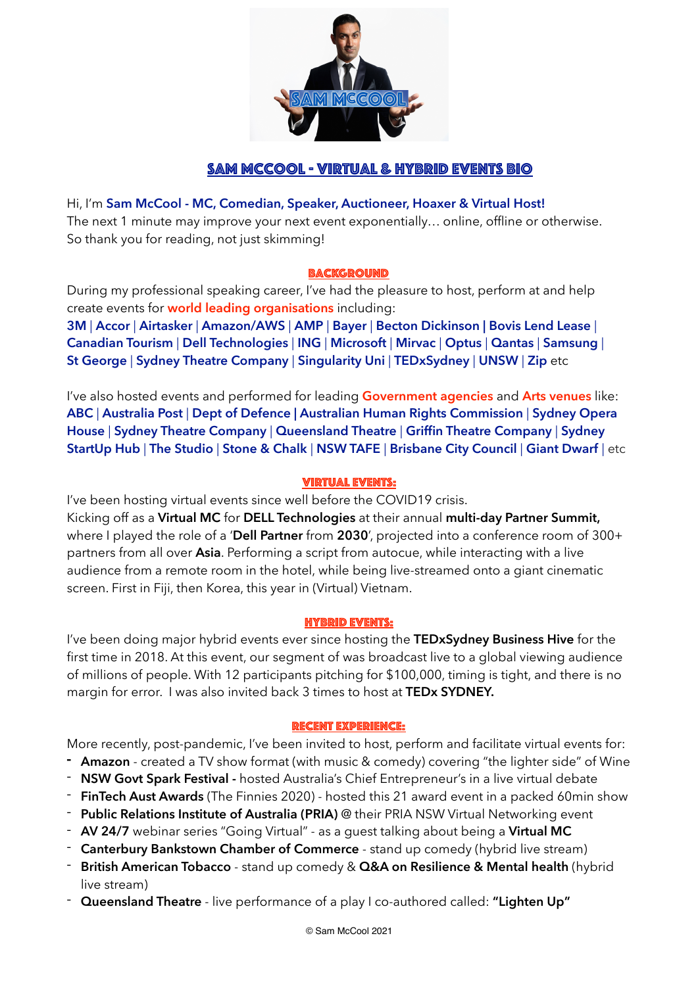

# Sam McCool - virtual & Hybrid events BIO

Hi, I'm **Sam McCool - MC, Comedian, Speaker, Auctioneer, Hoaxer & Virtual Host!** The next 1 minute may improve your next event exponentially… online, offline or otherwise. So thank you for reading, not just skimming!

#### **BACKGROUND**

During my professional speaking career, I've had the pleasure to host, perform at and help create events for **world leading organisations** including:

**3M** | **Accor** | **Airtasker** | **Amazon/AWS** | **AMP** | **Bayer** | **Becton Dickinson | Bovis Lend Lease** | **Canadian Tourism** | **Dell Technologies** | **ING** | **Microsoft** | **Mirvac** | **Optus** | **Qantas** | **Samsung** | **St George** | **Sydney Theatre Company** | **Singularity Uni** | **TEDxSydney** | **UNSW** | **Zip** etc

I've also hosted events and performed for leading **Government agencies** and **Arts venues** like: **ABC** | **Australia Post** | **Dept of Defence | Australian Human Rights Commission** | **Sydney Opera House** | **Sydney Theatre Company** | **Queensland Theatre** | **Griffin Theatre Company** | **Sydney StartUp Hub** | **The Studio** | **Stone & Chalk** | **NSW TAFE** | **Brisbane City Council** | **Giant Dwarf** | etc

## Virtual Events:

I've been hosting virtual events since well before the COVID19 crisis. Kicking off as a **Virtual MC** for **DELL Technologies** at their annual **multi-day Partner Summit,**  where I played the role of a '**Dell Partner** from **2030**', projected into a conference room of 300+ partners from all over **Asia**. Performing a script from autocue, while interacting with a live audience from a remote room in the hotel, while being live-streamed onto a giant cinematic screen. First in Fiji, then Korea, this year in (Virtual) Vietnam.

#### Hybrid Events:

I've been doing major hybrid events ever since hosting the **TEDxSydney Business Hive** for the first time in 2018. At this event, our segment of was broadcast live to a global viewing audience of millions of people. With 12 participants pitching for \$100,000, timing is tight, and there is no margin for error. I was also invited back 3 times to host at **TEDx SYDNEY.** 

#### Recent Experience:

More recently, post-pandemic, I've been invited to host, perform and facilitate virtual events for:

- **- Amazon**  created a TV show format (with music & comedy) covering "the lighter side" of Wine
- **NSW Govt Spark Festival** hosted Australia's Chief Entrepreneur's in a live virtual debate
- **FinTech Aust Awards** (The Finnies 2020) hosted this 21 award event in a packed 60min show
- **Public Relations Institute of Australia (PRIA)** @ their PRIA NSW Virtual Networking event
- **AV 24/7** webinar series "Going Virtual" as a guest talking about being a **Virtual MC**
- **Canterbury Bankstown Chamber of Commerce** stand up comedy (hybrid live stream)
- **British American Tobacco** stand up comedy & **Q&A on Resilience & Mental health** (hybrid live stream)
- **Queensland Theatre** live performance of a play I co-authored called: **"Lighten Up"**